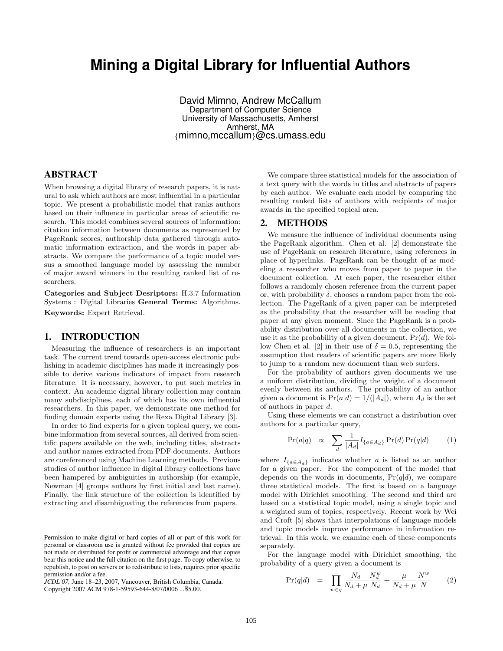# **Mining a Digital Library for Influential Authors**

David Mimno, Andrew McCallum Department of Computer Science University of Massachusetts, Amherst Amherst, MA {mimno,mccallum}@cs.umass.edu

## ABSTRACT

When browsing a digital library of research papers, it is natural to ask which authors are most influential in a particular topic. We present a probabilistic model that ranks authors based on their influence in particular areas of scientific research. This model combines several sources of information: citation information between documents as represented by PageRank scores, authorship data gathered through automatic information extraction, and the words in paper abstracts. We compare the performance of a topic model versus a smoothed language model by assessing the number of major award winners in the resulting ranked list of researchers.

Categories and Subject Desriptors: H.3.7 Information Systems : Digital Libraries General Terms: Algorithms. Keywords: Expert Retrieval.

#### 1. INTRODUCTION

Measuring the influence of researchers is an important task. The current trend towards open-access electronic publishing in academic disciplines has made it increasingly possible to derive various indicators of impact from research literature. It is necessary, however, to put such metrics in context. An academic digital library collection may contain many subdisciplines, each of which has its own influential researchers. In this paper, we demonstrate one method for finding domain experts using the Rexa Digital Library [3].

In order to find experts for a given topical query, we combine information from several sources, all derived from scientific papers available on the web, including titles, abstracts and author names extracted from PDF documents. Authors are coreferenced using Machine Learning methods. Previous studies of author influence in digital library collections have been hampered by ambiguities in authorship (for example, Newman [4] groups authors by first initial and last name). Finally, the link structure of the collection is identified by extracting and disambiguating the references from papers.

*JCDL'07,* June 18–23, 2007, Vancouver, British Columbia, Canada.

Copyright 2007 ACM 978-1-59593-644-8/07/0006 ...\$5.00.

We compare three statistical models for the association of a text query with the words in titles and abstracts of papers by each author. We evaluate each model by comparing the resulting ranked lists of authors with recipients of major awards in the specified topical area.

#### 2. METHODS

We measure the influence of individual documents using the PageRank algorithm. Chen et al. [2] demonstrate the use of PageRank on research literature, using references in place of hyperlinks. PageRank can be thought of as modeling a researcher who moves from paper to paper in the document collection. At each paper, the researcher either follows a randomly chosen reference from the current paper or, with probability  $\delta$ , chooses a random paper from the collection. The PageRank of a given paper can be interpreted as the probability that the researcher will be reading that paper at any given moment. Since the PageRank is a probability distribution over all documents in the collection, we use it as the probability of a given document,  $Pr(d)$ . We follow Chen et al. [2] in their use of  $\delta = 0.5$ , representing the assumption that readers of scientific papers are more likely to jump to a random new document than web surfers.

For the probability of authors given documents we use a uniform distribution, dividing the weight of a document evenly between its authors. The probability of an author given a document is  $Pr(a|d) = 1/(|A_d|)$ , where  $A_d$  is the set of authors in paper d.

Using these elements we can construct a distribution over authors for a particular query,

$$
\Pr(a|q) \propto \sum_{d} \frac{1}{|A_d|} I_{\{a \in A_d\}} \Pr(d) \Pr(q|d) \tag{1}
$$

where  $I_{\{a \in A_d\}}$  indicates whether a is listed as an author for a given paper. For the component of the model that depends on the words in documents,  $Pr(q|d)$ , we compare three statistical models. The first is based on a language model with Dirichlet smoothing. The second and third are based on a statistical topic model, using a single topic and a weighted sum of topics, respectively. Recent work by Wei and Croft [5] shows that interpolations of language models and topic models improve performance in information retrieval. In this work, we examine each of these components separately.

For the language model with Dirichlet smoothing, the probability of a query given a document is

$$
\Pr(q|d) = \prod_{w \in q} \frac{N_d}{N_d + \mu} \frac{N_d^w}{N_d} + \frac{\mu}{N_d + \mu} \frac{N^w}{N} \tag{2}
$$

Permission to make digital or hard copies of all or part of this work for personal or classroom use is granted without fee provided that copies are not made or distributed for profit or commercial advantage and that copies bear this notice and the full citation on the first page. To copy otherwise, to republish, to post on servers or to redistribute to lists, requires prior specific permission and/or a fee.